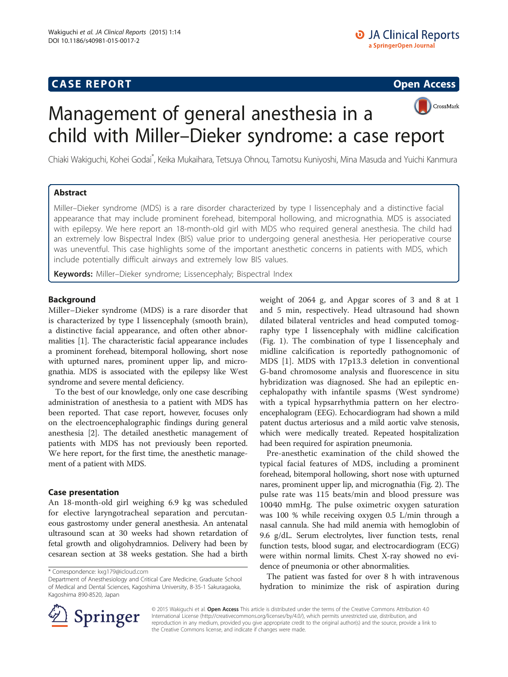# **CASE REPORT CASE REPORT CASE ACCESS**



# Management of general anesthesia in a child with Miller–Dieker syndrome: a case report

Chiaki Wakiguchi, Kohei Godai<sup>\*</sup>, Keika Mukaihara, Tetsuya Ohnou, Tamotsu Kuniyoshi, Mina Masuda and Yuichi Kanmura

# Abstract

Miller–Dieker syndrome (MDS) is a rare disorder characterized by type I lissencephaly and a distinctive facial appearance that may include prominent forehead, bitemporal hollowing, and micrognathia. MDS is associated with epilepsy. We here report an 18-month-old girl with MDS who required general anesthesia. The child had an extremely low Bispectral Index (BIS) value prior to undergoing general anesthesia. Her perioperative course was uneventful. This case highlights some of the important anesthetic concerns in patients with MDS, which include potentially difficult airways and extremely low BIS values.

Keywords: Miller-Dieker syndrome; Lissencephaly; Bispectral Index

# Background

Miller–Dieker syndrome (MDS) is a rare disorder that is characterized by type I lissencephaly (smooth brain), a distinctive facial appearance, and often other abnormalities [\[1](#page-2-0)]. The characteristic facial appearance includes a prominent forehead, bitemporal hollowing, short nose with upturned nares, prominent upper lip, and micrognathia. MDS is associated with the epilepsy like West syndrome and severe mental deficiency.

To the best of our knowledge, only one case describing administration of anesthesia to a patient with MDS has been reported. That case report, however, focuses only on the electroencephalographic findings during general anesthesia [\[2](#page-2-0)]. The detailed anesthetic management of patients with MDS has not previously been reported. We here report, for the first time, the anesthetic management of a patient with MDS.

# Case presentation

An 18-month-old girl weighing 6.9 kg was scheduled for elective laryngotracheal separation and percutaneous gastrostomy under general anesthesia. An antenatal ultrasound scan at 30 weeks had shown retardation of fetal growth and oligohydramnios. Delivery had been by cesarean section at 38 weeks gestation. She had a birth

weight of 2064 g, and Apgar scores of 3 and 8 at 1 and 5 min, respectively. Head ultrasound had shown dilated bilateral ventricles and head computed tomography type I lissencephaly with midline calcification (Fig. [1\)](#page-1-0). The combination of type I lissencephaly and midline calcification is reportedly pathognomonic of MDS [[1\]](#page-2-0). MDS with 17p13.3 deletion in conventional G-band chromosome analysis and fluorescence in situ hybridization was diagnosed. She had an epileptic encephalopathy with infantile spasms (West syndrome) with a typical hypsarrhythmia pattern on her electroencephalogram (EEG). Echocardiogram had shown a mild patent ductus arteriosus and a mild aortic valve stenosis, which were medically treated. Repeated hospitalization had been required for aspiration pneumonia.

Pre-anesthetic examination of the child showed the typical facial features of MDS, including a prominent forehead, bitemporal hollowing, short nose with upturned nares, prominent upper lip, and micrognathia (Fig. [2\)](#page-1-0). The pulse rate was 115 beats/min and blood pressure was 100⁄40 mmHg. The pulse oximetric oxygen saturation was 100 % while receiving oxygen 0.5 L/min through a nasal cannula. She had mild anemia with hemoglobin of 9.6 g/dL. Serum electrolytes, liver function tests, renal function tests, blood sugar, and electrocardiogram (ECG) were within normal limits. Chest X-ray showed no evidence of pneumonia or other abnormalities.

The patient was fasted for over 8 h with intravenous hydration to minimize the risk of aspiration during



© 2015 Wakiguchi et al. Open Access This article is distributed under the terms of the Creative Commons Attribution 4.0 International License ([http://creativecommons.org/licenses/by/4.0/\)](http://creativecommons.org/licenses/by/4.0/), which permits unrestricted use, distribution, and reproduction in any medium, provided you give appropriate credit to the original author(s) and the source, provide a link to the Creative Commons license, and indicate if changes were made.

<sup>\*</sup> Correspondence: [kxg179@icloud.com](mailto:kxg179@icloud.com)

Department of Anesthesiology and Critical Care Medicine, Graduate School of Medical and Dental Sciences, Kagoshima University, 8-35-1 Sakuragaoka, Kagoshima 890-8520, Japan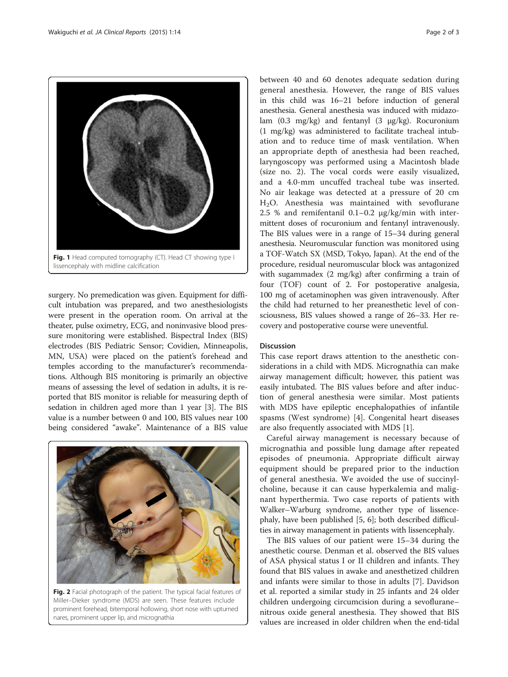<span id="page-1-0"></span>

surgery. No premedication was given. Equipment for difficult intubation was prepared, and two anesthesiologists were present in the operation room. On arrival at the theater, pulse oximetry, ECG, and noninvasive blood pressure monitoring were established. Bispectral Index (BIS) electrodes (BIS Pediatric Sensor; Covidien, Minneapolis, MN, USA) were placed on the patient's forehead and temples according to the manufacturer's recommendations. Although BIS monitoring is primarily an objective means of assessing the level of sedation in adults, it is reported that BIS monitor is reliable for measuring depth of sedation in children aged more than 1 year [\[3\]](#page-2-0). The BIS value is a number between 0 and 100, BIS values near 100 being considered "awake". Maintenance of a BIS value



Fig. 2 Facial photograph of the patient. The typical facial features of Miller–Dieker syndrome (MDS) are seen. These features include prominent forehead, bitemporal hollowing, short nose with upturned nares, prominent upper lip, and micrognathia

between 40 and 60 denotes adequate sedation during general anesthesia. However, the range of BIS values in this child was 16–21 before induction of general anesthesia. General anesthesia was induced with midazolam (0.3 mg/kg) and fentanyl (3 μg/kg). Rocuronium (1 mg/kg) was administered to facilitate tracheal intubation and to reduce time of mask ventilation. When an appropriate depth of anesthesia had been reached, laryngoscopy was performed using a Macintosh blade (size no. 2). The vocal cords were easily visualized, and a 4.0-mm uncuffed tracheal tube was inserted. No air leakage was detected at a pressure of 20 cm H2O. Anesthesia was maintained with sevoflurane 2.5 % and remifentanil 0.1–0.2 μg/kg/min with intermittent doses of rocuronium and fentanyl intravenously. The BIS values were in a range of 15–34 during general anesthesia. Neuromuscular function was monitored using a TOF-Watch SX (MSD, Tokyo, Japan). At the end of the procedure, residual neuromuscular block was antagonized with sugammadex (2 mg/kg) after confirming a train of four (TOF) count of 2. For postoperative analgesia, 100 mg of acetaminophen was given intravenously. After the child had returned to her preanesthetic level of consciousness, BIS values showed a range of 26–33. Her recovery and postoperative course were uneventful.

#### Discussion

This case report draws attention to the anesthetic considerations in a child with MDS. Micrognathia can make airway management difficult; however, this patient was easily intubated. The BIS values before and after induction of general anesthesia were similar. Most patients with MDS have epileptic encephalopathies of infantile spasms (West syndrome) [[4\]](#page-2-0). Congenital heart diseases are also frequently associated with MDS [[1\]](#page-2-0).

Careful airway management is necessary because of micrognathia and possible lung damage after repeated episodes of pneumonia. Appropriate difficult airway equipment should be prepared prior to the induction of general anesthesia. We avoided the use of succinylcholine, because it can cause hyperkalemia and malignant hyperthermia. Two case reports of patients with Walker–Warburg syndrome, another type of lissencephaly, have been published [[5](#page-2-0), [6\]](#page-2-0); both described difficulties in airway management in patients with lissencephaly.

The BIS values of our patient were 15–34 during the anesthetic course. Denman et al. observed the BIS values of ASA physical status I or II children and infants. They found that BIS values in awake and anesthetized children and infants were similar to those in adults [[7\]](#page-2-0). Davidson et al. reported a similar study in 25 infants and 24 older children undergoing circumcision during a sevoflurane– nitrous oxide general anesthesia. They showed that BIS values are increased in older children when the end-tidal